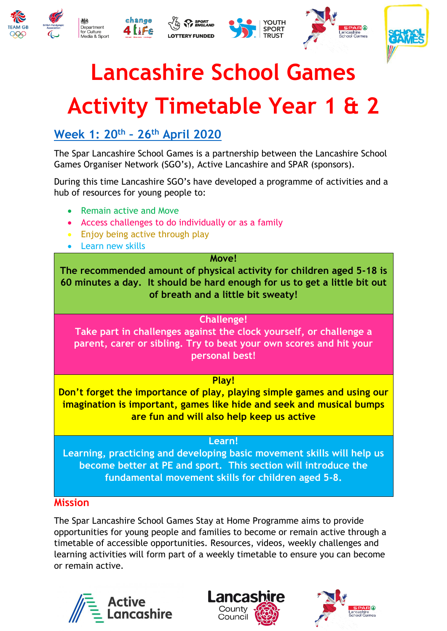



# **Lancashire School Games**

# **Activity Timetable Year 1 & 2**

### **[Week 1: 20](https://lancashireschoolgames.co.uk/year-1-2-spar-lancashire-school-games-activity-timetable/)th – 26th April 2020**

The Spar Lancashire School Games is a partnership between the Lancashire School Games Organiser Network (SGO's), Active Lancashire and SPAR (sponsors).

During this time Lancashire SGO's have developed a programme of activities and a hub of resources for young people to:

- Remain active and Move
- Access challenges to do individually or as a family
- Enjoy being active through play
- Learn new skills

#### **Move!**

**The recommended amount of physical activity for children aged 5-18 is 60 minutes a day. It should be hard enough for us to get a little bit out of breath and a little bit sweaty!**

#### **Challenge!**

**Take part in challenges against the clock yourself, or challenge a parent, carer or sibling. Try to beat your own scores and hit your personal best!**

#### **Play!**

**Don't forget the importance of play, playing simple games and using our imagination is important, games like hide and seek and musical bumps are fun and will also help keep us active**

#### **Learn!**

**Learning, practicing and developing basic movement skills will help us become better at PE and sport. This section will introduce the fundamental movement skills for children aged 5-8.**

#### **Mission**

The Spar Lancashire School Games Stay at Home Programme aims to provide opportunities for young people and families to become or remain active through a timetable of accessible opportunities. Resources, videos, weekly challenges and learning activities will form part of a weekly timetable to ensure you can become or remain active.





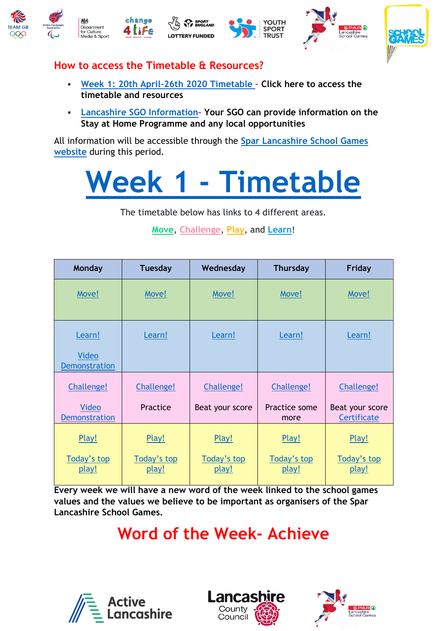







#### **How to access the Timetable & Resources?**

- **Week 1: [20th April-26th 2020 Timetable](https://lancashireschoolgames.co.uk/year-1-2-spar-lancashire-school-games-activity-timetable/) – Click here to access the timetable and resources**
- **[Lancashire SGO Information](https://lancashireschoolgames.co.uk/schools/school-games-organisers/)– Your SGO can provide information on the Stay at Home Programme and any local opportunities**

All information will be accessible through the **[Spar Lancashire School](https://lancashireschoolgames.co.uk/year-1-2-spar-lancashire-school-games-activity-timetable/) Games [website](https://lancashireschoolgames.co.uk/year-1-2-spar-lancashire-school-games-activity-timetable/)** during this period.

# **Week 1 - [Timetable](https://lancashireschoolgames.co.uk/year-1-2-spar-lancashire-school-games-activity-timetable/)**

The timetable below has links to 4 different areas.

**[Move](https://lancashireschoolgames.co.uk/year-1-2-move-resource/)**, **[Challenge](https://lancashireschoolgames.co.uk/kangaroo-jump-challenge/)**, **[Play](https://lancashireschoolgames.co.uk/ks1-play-resource/)**, and **[Learn](https://lancashireschoolgames.co.uk/learn/)**!

| Monday                                             | <b>Tuesday</b>                | Wednesday                     | <b>Thursday</b>                     | Friday                                       |
|----------------------------------------------------|-------------------------------|-------------------------------|-------------------------------------|----------------------------------------------|
| Move!                                              | Move!                         | Move!                         | Move!                               | Move!                                        |
| Learn!<br>Video<br><b>Demonstration</b>            | Learn!                        | Learn!                        | Learn!                              | Learn!                                       |
| Challenge!<br><b>Video</b><br><b>Demonstration</b> | Challenge!<br>Practice        | Challenge!<br>Beat your score | Challenge!<br>Practice some<br>more | Challenge!<br>Beat your score<br>Certificate |
| Play!<br>Today's top<br>play!                      | Play!<br>Today's top<br>play! | Play!<br>Today's top<br>play! | Play!<br>Today's top<br>play!       | Play!<br>Today's top<br>play!                |

**Every week we will have a new word of the week linked to the school games values and the values we believe to be important as organisers of the Spar Lancashire School Games.** 

## **Word of the Week- Achieve**





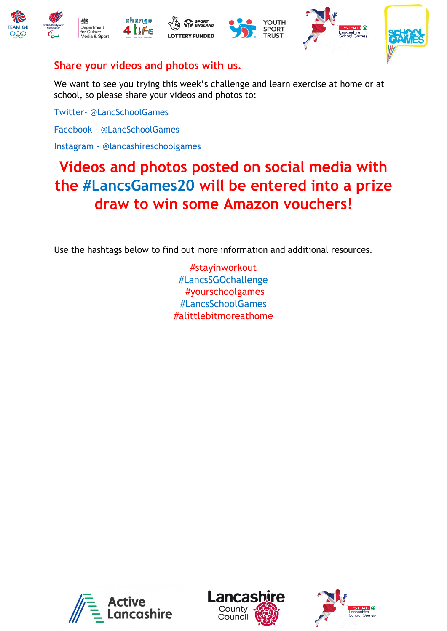







#### **Share your videos and photos with us.**

We want to see you trying this week's challenge and learn exercise at home or at school, so please share your videos and photos to:

Twitter- [@LancSchoolGames](https://twitter.com/yourschoolgames)

Facebook - [@LancSchoolGames](https://www.facebook.com/LancSchoolGames/)

Instagram - [@lancashireschoolgames](https://www.instagram.com/lancashireschoolgames/)

### **Videos and photos posted on social media with the #LancsGames20 will be entered into a prize draw to win some Amazon vouchers!**

Use the hashtags below to find out more information and additional resources.

#stayinworkout #LancsSGOchallenge #yourschoolgames #LancsSchoolGames #alittlebitmoreathome





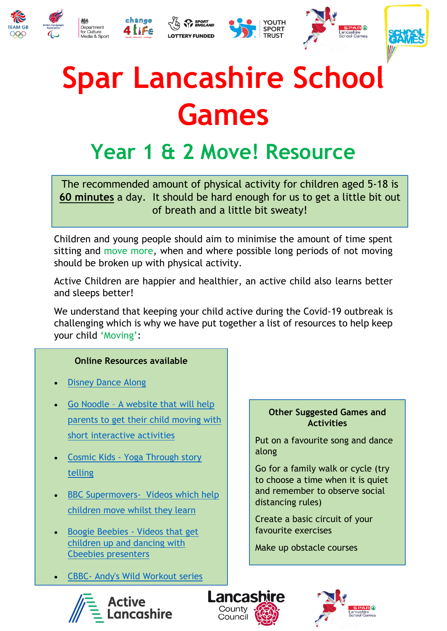



# **Spar Lancashire School Games**

## **Year 1 & 2 Move! Resource**

The recommended amount of physical activity for children aged 5-18 is **60 minutes** a day. It should be hard enough for us to get a little bit out of breath and a little bit sweaty!

Children and young people should aim to minimise the amount of time spent sitting and move more, when and where possible long periods of not moving should be broken up with physical activity.

Active Children are happier and healthier, an active child also learns better and sleeps better!

We understand that keeping your child active during the Covid-19 outbreak is challenging which is why we have put together a list of resources to help keep your child 'Moving':

#### **Online Resources available**

- [Disney Dance Along](https://www.thisgirlcan.co.uk/activities/disney-workouts/)
- Go Noodle [A website that will help](https://www.gonoodle.com/)  [parents to get their child moving with](https://www.gonoodle.com/)  [short interactive activities](https://www.gonoodle.com/)
- Cosmic Kids [Yoga Through story](https://www.youtube.com/watch?v=LhYtcadR9nw)  [telling](https://www.youtube.com/watch?v=LhYtcadR9nw)
- BBC Supermovers- Videos which help [children move whilst they learn](https://www.bbc.co.uk/teach/supermovers)
- [Boogie Beebies -](https://www.bbc.co.uk/programmes/b006mvsc) Videos that get [children up and dancing with](https://www.bbc.co.uk/programmes/b006mvsc)  [Cbeebies presenters](https://www.bbc.co.uk/programmes/b006mvsc)
- CBBC- [Andy's Wild Workout series](https://www.bbc.co.uk/programmes/p06tmmvz)

#### **Other Suggested Games and Activities**

Put on a favourite song and dance along

Go for a family walk or cycle (try to choose a time when it is quiet and remember to observe social distancing rules)

Create a basic circuit of your favourite exercises

Make up obstacle courses



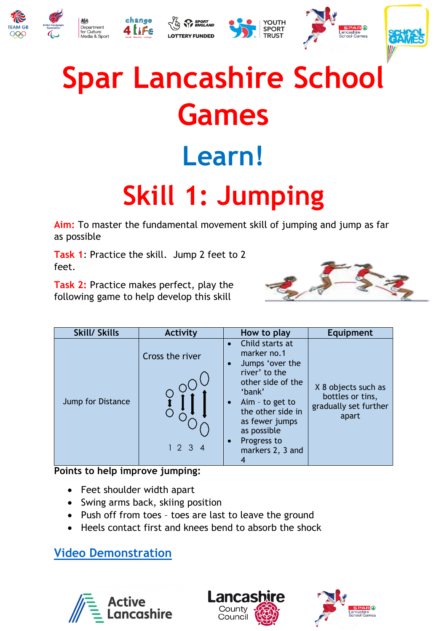





# **Spar Lancashire School Games Learn! Skill 1: Jumping**

**Aim:** To master the fundamental movement skill of jumping and jump as far as possible

**Task 1**: Practice the skill. Jump 2 feet to 2 feet.

**Task 2:** Practice makes perfect, play the following game to help develop this skill



| <b>Skill/ Skills</b> | Activity               | How to play                                                                                                                                                                                                                                | Equipment                                                                 |
|----------------------|------------------------|--------------------------------------------------------------------------------------------------------------------------------------------------------------------------------------------------------------------------------------------|---------------------------------------------------------------------------|
| Jump for Distance    | Cross the river<br>123 | Child starts at<br>$\bullet$<br>marker no.1<br>Jumps 'over the<br>river' to the<br>other side of the<br>'bank'<br>$A$ im - to get to<br>$\bullet$<br>the other side in<br>as fewer jumps<br>as possible<br>Progress to<br>markers 2, 3 and | X 8 objects such as<br>bottles or tins,<br>gradually set further<br>apart |

**Points to help improve jumping:** 

- Feet shoulder width apart
- Swing arms back, skiing position
- Push off from toes toes are last to leave the ground
- Heels contact first and knees bend to absorb the shock

### **[Video Demonstration](https://www.youtube.com/watch?v=98861luMZrE&feature=youtu.be)**





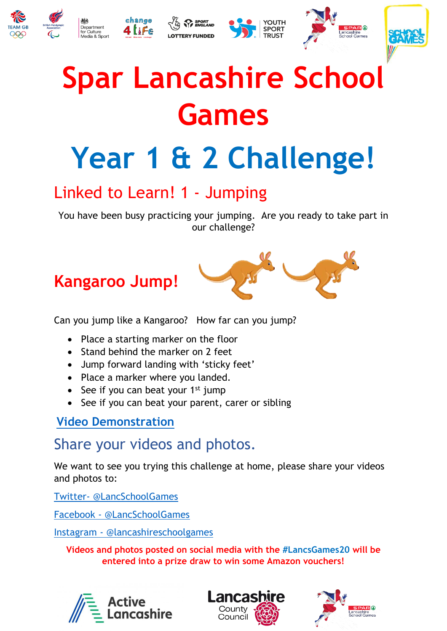





# **Spar Lancashire School Games**

# **Year 1 & 2 Challenge!**

### Linked to Learn! 1 - Jumping

You have been busy practicing your jumping. Are you ready to take part in our challenge?

## **Kangaroo Jump!**



Can you jump like a Kangaroo? How far can you jump?

- Place a starting marker on the floor
- Stand behind the marker on 2 feet
- Jump forward landing with 'sticky feet'
- Place a marker where you landed.
- $\bullet$  See if you can beat your 1<sup>st</sup> jump
- See if you can beat your parent, carer or sibling

### **Video [Demonstration](https://youtu.be/xM11cO2nIss)**

### Share your videos and photos.

We want to see you trying this challenge at home, please share your videos and photos to:

Twitter- [@LancSchoolGames](https://twitter.com/yourschoolgames)

Facebook - [@LancSchoolGames](https://www.facebook.com/LancSchoolGames/)

Instagram - [@lancashireschoolgames](https://www.instagram.com/lancashireschoolgames/)

**Videos and photos posted on social media with the #LancsGames20 will be entered into a prize draw to win some Amazon vouchers!**